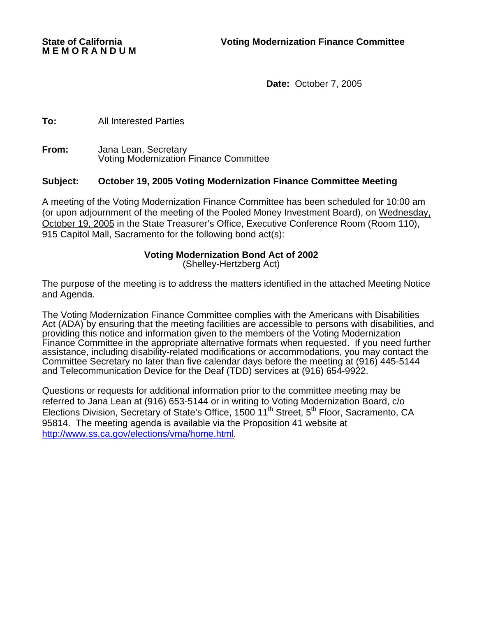**M E M O R A N D U M** 

**Date:** October 7, 2005

**To:** All Interested Parties

**From:** Jana Lean, Secretary Voting Modernization Finance Committee

## **Subject: October 19, 2005 Voting Modernization Finance Committee Meeting**

A meeting of the Voting Modernization Finance Committee has been scheduled for 10:00 am (or upon adjournment of the meeting of the Pooled Money Investment Board), on Wednesday, October 19, 2005 in the State Treasurer's Office, Executive Conference Room (Room 110), 915 Capitol Mall, Sacramento for the following bond act(s):

## **Voting Modernization Bond Act of 2002**

(Shelley-Hertzberg Act)

The purpose of the meeting is to address the matters identified in the attached Meeting Notice and Agenda.

The Voting Modernization Finance Committee complies with the Americans with Disabilities Act (ADA) by ensuring that the meeting facilities are accessible to persons with disabilities, and providing this notice and information given to the members of the Voting Modernization Finance Committee in the appropriate alternative formats when requested. If you need further assistance, including disability-related modifications or accommodations, you may contact the Committee Secretary no later than five calendar days before the meeting at (916) 445-5144 and Telecommunication Device for the Deaf (TDD) services at (916) 654-9922.

Questions or requests for additional information prior to the committee meeting may be referred to Jana Lean at (916) 653-5144 or in writing to Voting Modernization Board, c/o Elections Division, Secretary of State's Office, 1500 11<sup>th</sup> Street, 5<sup>th</sup> Floor, Sacramento, CA 95814. The meeting agenda is available via the Proposition 41 website at http://www.ss.ca.gov/elections/vma/home.html.